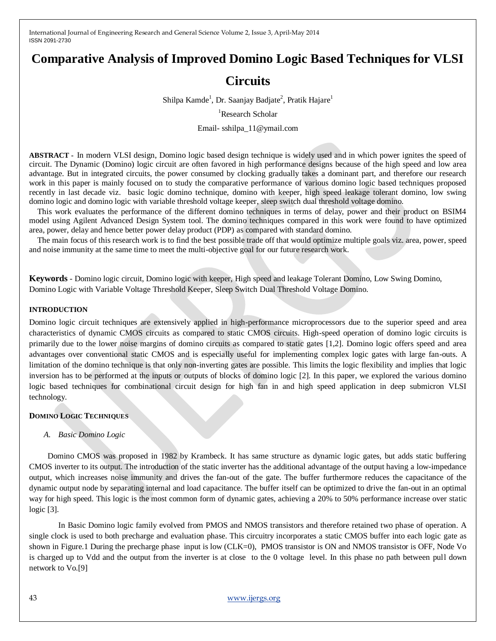# **Comparative Analysis of Improved Domino Logic Based Techniques for VLSI**

# **Circuits**

Shilpa Kamde<sup>1</sup>, Dr. Saanjay Badjate<sup>2</sup>, Pratik Hajare<sup>1</sup>

<sup>1</sup>Research Scholar

Email- sshilpa\_11@ymail.com

**ABSTRACT -** In modern VLSI design, Domino logic based design technique is widely used and in which power ignites the speed of circuit. The Dynamic (Domino) logic circuit are often favored in high performance designs because of the high speed and low area advantage. But in integrated circuits, the power consumed by clocking gradually takes a dominant part, and therefore our research work in this paper is mainly focused on to study the comparative performance of various domino logic based techniques proposed recently in last decade viz. basic logic domino technique, domino with keeper, high speed leakage tolerant domino, low swing domino logic and domino logic with variable threshold voltage keeper, sleep switch dual threshold voltage domino.

This work evaluates the performance of the different domino techniques in terms of delay, power and their product on BSIM4 model using Agilent Advanced Design System tool. The domino techniques compared in this work were found to have optimized area, power, delay and hence better power delay product (PDP) as compared with standard domino.

The main focus of this research work is to find the best possible trade off that would optimize multiple goals viz. area, power, speed and noise immunity at the same time to meet the multi-objective goal for our future research work.

**Keywords** - Domino logic circuit, Domino logic with keeper, High speed and leakage Tolerant Domino, Low Swing Domino, Domino Logic with Variable Voltage Threshold Keeper, Sleep Switch Dual Threshold Voltage Domino.

#### **INTRODUCTION**

Domino logic circuit techniques are extensively applied in high-performance microprocessors due to the superior speed and area characteristics of dynamic CMOS circuits as compared to static CMOS circuits. High-speed operation of domino logic circuits is primarily due to the lower noise margins of domino circuits as compared to static gates [1,2]. Domino logic offers speed and area advantages over conventional static CMOS and is especially useful for implementing complex logic gates with large fan-outs. A limitation of the domino technique is that only non-inverting gates are possible. This limits the logic flexibility and implies that logic inversion has to be performed at the inputs or outputs of blocks of domino logic [2]. In this paper, we explored the various domino logic based techniques for combinational circuit design for high fan in and high speed application in deep submicron VLSI technology.

## **DOMINO LOGIC TECHNIQUES**

## *A. Basic Domino Logic*

 Domino CMOS was proposed in 1982 by Krambeck. It has same structure as dynamic logic gates, but adds static buffering CMOS inverter to its output. The introduction of the static inverter has the additional advantage of the output having a low-impedance output, which increases noise immunity and drives the fan-out of the gate. The buffer furthermore reduces the capacitance of the dynamic output node by separating internal and load capacitance. The buffer itself can be optimized to drive the fan-out in an optimal way for high speed. This logic is the most common form of dynamic gates, achieving a 20% to 50% performance increase over static logic [3].

In Basic Domino logic family evolved from PMOS and NMOS transistors and therefore retained two phase of operation. A single clock is used to both precharge and evaluation phase. This circuitry incorporates a static CMOS buffer into each logic gate as shown in Figure.1 During the precharge phase input is low (CLK=0), PMOS transistor is ON and NMOS transistor is OFF, Node Vo is charged up to Vdd and the output from the inverter is at close to the 0 voltage level. In this phase no path between pull down network to Vo.[9]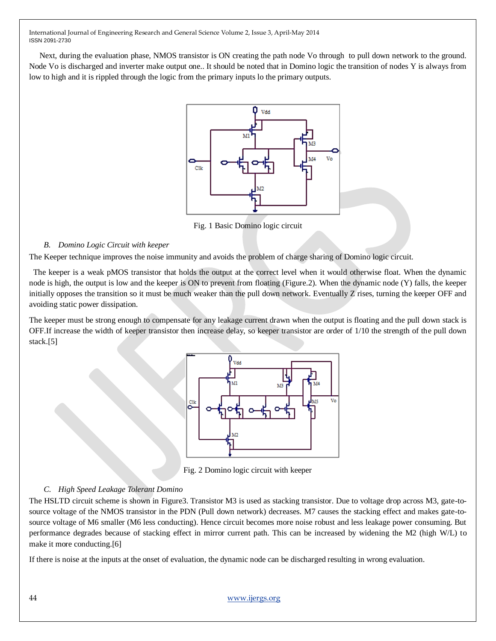Next, during the evaluation phase, NMOS transistor is ON creating the path node Vo through to pull down network to the ground. Node Vo is discharged and inverter make output one.. It should be noted that in Domino logic the transition of nodes Y is always from low to high and it is rippled through the logic from the primary inputs lo the primary outputs.



Fig. 1 Basic Domino logic circuit

# *B. Domino Logic Circuit with keeper*

The Keeper technique improves the noise immunity and avoids the problem of charge sharing of Domino logic circuit.

 The keeper is a weak pMOS transistor that holds the output at the correct level when it would otherwise float. When the dynamic node is high, the output is low and the keeper is ON to prevent from floating (Figure.2). When the dynamic node (Y) falls, the keeper initially opposes the transition so it must be much weaker than the pull down network. Eventually Z rises, turning the keeper OFF and avoiding static power dissipation.

The keeper must be strong enough to compensate for any leakage current drawn when the output is floating and the pull down stack is OFF.If increase the width of keeper transistor then increase delay, so keeper transistor are order of 1/10 the strength of the pull down stack.[5]



Fig. 2 Domino logic circuit with keeper

# *C. High Speed Leakage Tolerant Domino*

The HSLTD circuit scheme is shown in Figure3. Transistor M3 is used as stacking transistor. Due to voltage drop across M3, gate-tosource voltage of the NMOS transistor in the PDN (Pull down network) decreases. M7 causes the stacking effect and makes gate-tosource voltage of M6 smaller (M6 less conducting). Hence circuit becomes more noise robust and less leakage power consuming. But performance degrades because of stacking effect in mirror current path. This can be increased by widening the M2 (high W/L) to make it more conducting.[6]

If there is noise at the inputs at the onset of evaluation, the dynamic node can be discharged resulting in wrong evaluation.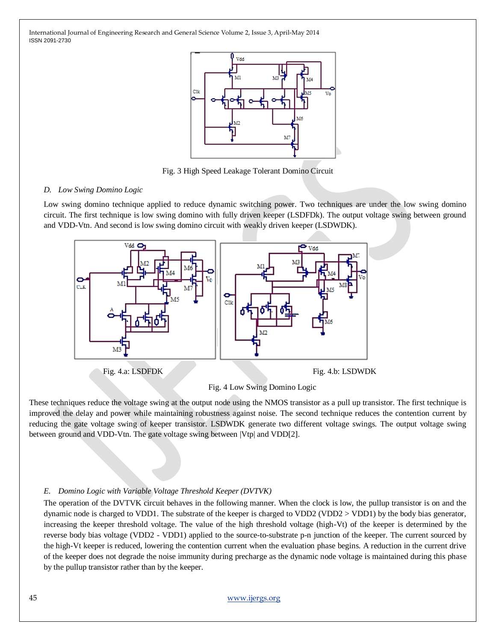

Fig. 3 High Speed Leakage Tolerant Domino Circuit

#### *D. Low Swing Domino Logic*

Low swing domino technique applied to reduce dynamic switching power. Two techniques are under the low swing domino circuit. The first technique is low swing domino with fully driven keeper (LSDFDk). The output voltage swing between ground and VDD-Vtn. And second is low swing domino circuit with weakly driven keeper (LSDWDK).



Fig. 4 Low Swing Domino Logic

These techniques reduce the voltage swing at the output node using the NMOS transistor as a pull up transistor. The first technique is improved the delay and power while maintaining robustness against noise. The second technique reduces the contention current by reducing the gate voltage swing of keeper transistor. LSDWDK generate two different voltage swings. The output voltage swing between ground and VDD-Vtn. The gate voltage swing between |Vtp| and VDD[2].

## *E. Domino Logic with Variable Voltage Threshold Keeper (DVTVK)*

The operation of the DVTVK circuit behaves in the following manner. When the clock is low, the pullup transistor is on and the dynamic node is charged to VDD1. The substrate of the keeper is charged to VDD2 (VDD2 > VDD1) by the body bias generator, increasing the keeper threshold voltage. The value of the high threshold voltage (high-Vt) of the keeper is determined by the reverse body bias voltage (VDD2 - VDD1) applied to the source-to-substrate p-n junction of the keeper. The current sourced by the high-Vt keeper is reduced, lowering the contention current when the evaluation phase begins. A reduction in the current drive of the keeper does not degrade the noise immunity during precharge as the dynamic node voltage is maintained during this phase by the pullup transistor rather than by the keeper.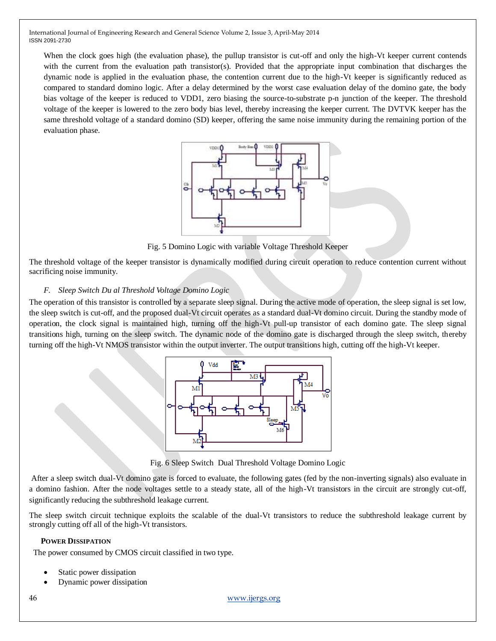When the clock goes high (the evaluation phase), the pullup transistor is cut-off and only the high-Vt keeper current contends with the current from the evaluation path transistor(s). Provided that the appropriate input combination that discharges the dynamic node is applied in the evaluation phase, the contention current due to the high-Vt keeper is significantly reduced as compared to standard domino logic. After a delay determined by the worst case evaluation delay of the domino gate, the body bias voltage of the keeper is reduced to VDD1, zero biasing the source-to-substrate p-n junction of the keeper. The threshold voltage of the keeper is lowered to the zero body bias level, thereby increasing the keeper current. The DVTVK keeper has the same threshold voltage of a standard domino (SD) keeper, offering the same noise immunity during the remaining portion of the evaluation phase.



Fig. 5 Domino Logic with variable Voltage Threshold Keeper

The threshold voltage of the keeper transistor is dynamically modified during circuit operation to reduce contention current without sacrificing noise immunity.

# *F. Sleep Switch Du al Threshold Voltage Domino Logic*

The operation of this transistor is controlled by a separate sleep signal. During the active mode of operation, the sleep signal is set low, the sleep switch is cut-off, and the proposed dual-Vt circuit operates as a standard dual-Vt domino circuit. During the standby mode of operation, the clock signal is maintained high, turning off the high-Vt pull-up transistor of each domino gate. The sleep signal transitions high, turning on the sleep switch. The dynamic node of the domino gate is discharged through the sleep switch, thereby turning off the high-Vt NMOS transistor within the output inverter. The output transitions high, cutting off the high-Vt keeper.



Fig. 6 Sleep Switch Dual Threshold Voltage Domino Logic

After a sleep switch dual-Vt domino gate is forced to evaluate, the following gates (fed by the non-inverting signals) also evaluate in a domino fashion. After the node voltages settle to a steady state, all of the high-Vt transistors in the circuit are strongly cut-off, significantly reducing the subthreshold leakage current.

The sleep switch circuit technique exploits the scalable of the dual-Vt transistors to reduce the subthreshold leakage current by strongly cutting off all of the high-Vt transistors.

## **POWER DISSIPATION**

The power consumed by CMOS circuit classified in two type.

- Static power dissipation
- Dynamic power dissipation

46 [www.ijergs.org](http://www.ijergs.org/)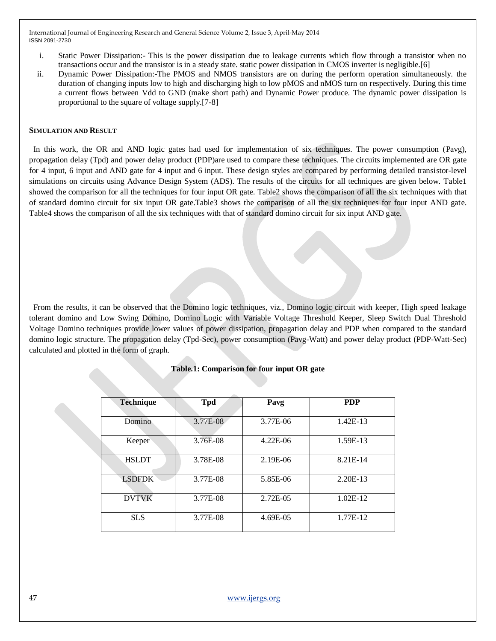- i. Static Power Dissipation:- This is the power dissipation due to leakage currents which flow through a transistor when no transactions occur and the transistor is in a steady state. static power dissipation in CMOS inverter is negligible.[6]
- ii. Dynamic Power Dissipation:-The PMOS and NMOS transistors are on during the perform operation simultaneously. the duration of changing inputs low to high and discharging high to low pMOS and nMOS turn on respectively. During this time a current flows between Vdd to GND (make short path) and Dynamic Power produce. The dynamic power dissipation is proportional to the square of voltage supply.[7-8]

#### **SIMULATION AND RESULT**

 In this work, the OR and AND logic gates had used for implementation of six techniques. The power consumption (Pavg), propagation delay (Tpd) and power delay product (PDP)are used to compare these techniques. The circuits implemented are OR gate for 4 input, 6 input and AND gate for 4 input and 6 input. These design styles are compared by performing detailed transistor-level simulations on circuits using Advance Design System (ADS). The results of the circuits for all techniques are given below. Table1 showed the comparison for all the techniques for four input OR gate. Table2 shows the comparison of all the six techniques with that of standard domino circuit for six input OR gate.Table3 shows the comparison of all the six techniques for four input AND gate. Table4 shows the comparison of all the six techniques with that of standard domino circuit for six input AND gate.

 From the results, it can be observed that the Domino logic techniques, viz., Domino logic circuit with keeper, High speed leakage tolerant domino and Low Swing Domino, Domino Logic with Variable Voltage Threshold Keeper, Sleep Switch Dual Threshold Voltage Domino techniques provide lower values of power dissipation, propagation delay and PDP when compared to the standard domino logic structure. The propagation delay (Tpd-Sec), power consumption (Pavg-Watt) and power delay product (PDP-Watt-Sec) calculated and plotted in the form of graph.

| <b>Technique</b> | <b>Tpd</b> | Pavg       | <b>PDP</b> |
|------------------|------------|------------|------------|
| Domino           | 3.77E-08   | 3.77E-06   | $1.42E-13$ |
| Keeper           | 3.76E-08   | $4.22E-06$ | 1.59E-13   |
| <b>HSLDT</b>     | 3.78E-08   | $2.19E-06$ | 8.21E-14   |
| <b>LSDFDK</b>    | 3.77E-08   | 5.85E-06   | 2.20E-13   |
| <b>DVTVK</b>     | 3.77E-08   | 2.72E-05   | $1.02E-12$ |
| <b>SLS</b>       | 3.77E-08   | 4.69E-05   | 1.77E-12   |

# **Table.1: Comparison for four input OR gate**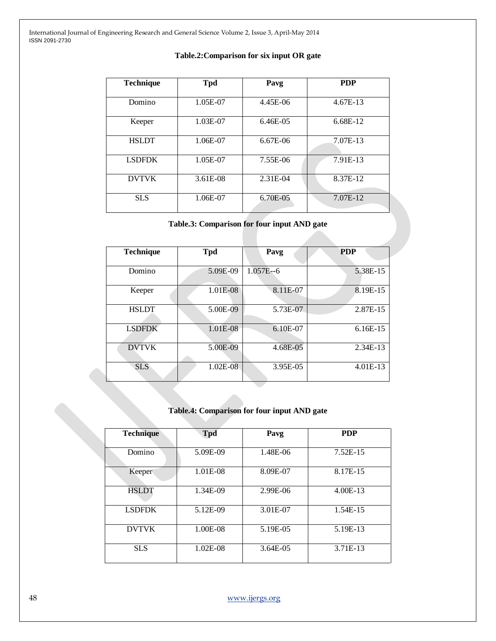#### **Table.2:Comparison for six input OR gate**

| <b>Technique</b> | <b>Tpd</b> | Pavg     | <b>PDP</b> |
|------------------|------------|----------|------------|
| Domino           | 1.05E-07   | 4.45E-06 | $4.67E-13$ |
| Keeper           | 1.03E-07   | 6.46E-05 | 6.68E-12   |
| <b>HSLDT</b>     | 1.06E-07   | 6.67E-06 | 7.07E-13   |
| <b>LSDFDK</b>    | 1.05E-07   | 7.55E-06 | 7.91E-13   |
| <b>DVTVK</b>     | 3.61E-08   | 2.31E-04 | 8.37E-12   |
| <b>SLS</b>       | 1.06E-07   | 6.70E-05 | 7.07E-12   |

# **Table.3: Comparison for four input AND gate**

| <b>Technique</b> | <b>Tpd</b> | Pavg         | <b>PDP</b> |
|------------------|------------|--------------|------------|
| Domino           | 5.09E-09   | $1.057E - 6$ | 5.38E-15   |
| Keeper           | 1.01E-08   | 8.11E-07     | 8.19E-15   |
| <b>HSLDT</b>     | 5.00E-09   | 5.73E-07     | 2.87E-15   |
| <b>LSDFDK</b>    | 1.01E-08   | 6.10E-07     | $6.16E-15$ |
| <b>DVTVK</b>     | 5.00E-09   | 4.68E-05     | 2.34E-13   |
| <b>SLS</b>       | $1.02E-08$ | 3.95E-05     | $4.01E-13$ |

# **Table.4: Comparison for four input AND gate**

| <b>Technique</b> | <b>Tpd</b> | Pavg     | <b>PDP</b> |
|------------------|------------|----------|------------|
| Domino           | 5.09E-09   | 1.48E-06 | 7.52E-15   |
| Keeper           | 1.01E-08   | 8.09E-07 | 8.17E-15   |
| <b>HSLDT</b>     | 1.34E-09   | 2.99E-06 | 4.00E-13   |
| <b>LSDFDK</b>    | 5.12E-09   | 3.01E-07 | 1.54E-15   |
| <b>DVTVK</b>     | 1.00E-08   | 5.19E-05 | 5.19E-13   |
| <b>SLS</b>       | $1.02E-08$ | 3.64E-05 | 3.71E-13   |

48 [www.ijergs.org](http://www.ijergs.org/)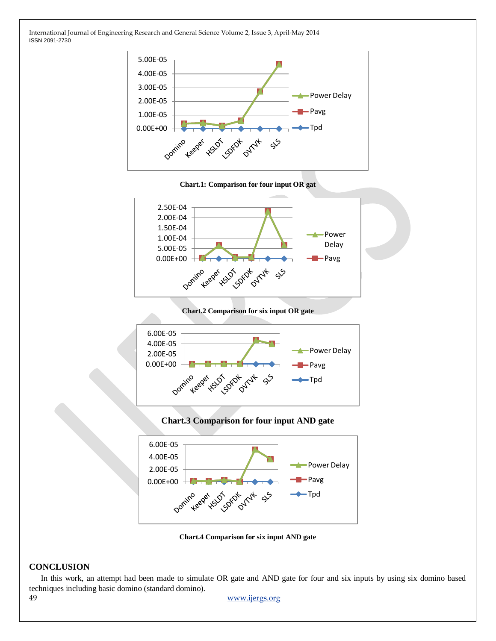

**Chart.1: Comparison for four input OR gat**



**Chart.2 Comparison for six input OR gate**



**Chart.3 Comparison for four input AND gate**



**Chart.4 Comparison for six input AND gate**

# **CONCLUSION**

In this work, an attempt had been made to simulate OR gate and AND gate for four and six inputs by using six domino based techniques including basic domino (standard domino).

49 [www.ijergs.org](http://www.ijergs.org/)